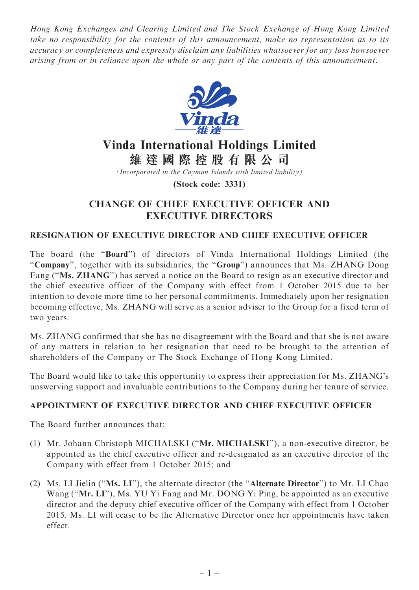Hong Kong Exchanges and Clearing Limited and The Stock Exchange of Hong Kong Limited take no responsibility for the contents of this announcement, make no representation as to its accuracy or completeness and expressly disclaim any liabilities whatsoever for any loss howsoever arising from or in reliance upon the whole or any part of the contents of this announcement.



# Vinda International Holdings Limited 維 達 國 際 控 股 有 限 公 司

(Incorporated in the Cayman Islands with limited liability)

(Stock code: 3331)

## CHANGE OF CHIEF EXECUTIVE OFFICER AND EXECUTIVE DIRECTORS

### RESIGNATION OF EXECUTIVE DIRECTOR AND CHIEF EXECUTIVE OFFICER

The board (the ''Board'') of directors of Vinda International Holdings Limited (the "Company", together with its subsidiaries, the "Group") announces that Ms. ZHANG Dong Fang ("Ms. ZHANG") has served a notice on the Board to resign as an executive director and the chief executive officer of the Company with effect from 1 October 2015 due to her intention to devote more time to her personal commitments. Immediately upon her resignation becoming effective, Ms. ZHANG will serve as a senior adviser to the Group for a fixed term of two years.

Ms. ZHANG confirmed that she has no disagreement with the Board and that she is not aware of any matters in relation to her resignation that need to be brought to the attention of shareholders of the Company or The Stock Exchange of Hong Kong Limited.

The Board would like to take this opportunity to express their appreciation for Ms. ZHANG's unswerving support and invaluable contributions to the Company during her tenure of service.

### APPOINTMENT OF EXECUTIVE DIRECTOR AND CHIEF EXECUTIVE OFFICER

The Board further announces that:

- (1) Mr. Johann Christoph MICHALSKI (''Mr. MICHALSKI''), a non-executive director, be appointed as the chief executive officer and re-designated as an executive director of the Company with effect from 1 October 2015; and
- (2) Ms. LI Jielin (''Ms. LI''), the alternate director (the ''Alternate Director'') to Mr. LI Chao Wang ("Mr. LI"), Ms. YU Yi Fang and Mr. DONG Yi Ping, be appointed as an executive director and the deputy chief executive officer of the Company with effect from 1 October 2015. Ms. LI will cease to be the Alternative Director once her appointments have taken effect.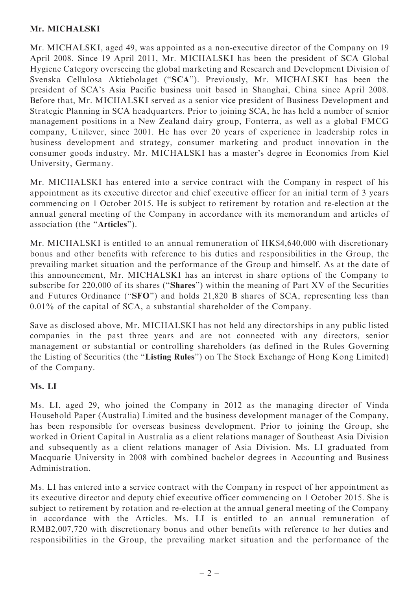### Mr. MICHALSKI

Mr. MICHALSKI, aged 49, was appointed as a non-executive director of the Company on 19 April 2008. Since 19 April 2011, Mr. MICHALSKI has been the president of SCA Global Hygiene Category overseeing the global marketing and Research and Development Division of Svenska Cellulosa Aktiebolaget (''SCA''). Previously, Mr. MICHALSKI has been the president of SCA's Asia Pacific business unit based in Shanghai, China since April 2008. Before that, Mr. MICHALSKI served as a senior vice president of Business Development and Strategic Planning in SCA headquarters. Prior to joining SCA, he has held a number of senior management positions in a New Zealand dairy group, Fonterra, as well as a global FMCG company, Unilever, since 2001. He has over 20 years of experience in leadership roles in business development and strategy, consumer marketing and product innovation in the consumer goods industry. Mr. MICHALSKI has a master's degree in Economics from Kiel University, Germany.

Mr. MICHALSKI has entered into a service contract with the Company in respect of his appointment as its executive director and chief executive officer for an initial term of 3 years commencing on 1 October 2015. He is subject to retirement by rotation and re-election at the annual general meeting of the Company in accordance with its memorandum and articles of association (the ''Articles'').

Mr. MICHALSKI is entitled to an annual remuneration of HK\$4,640,000 with discretionary bonus and other benefits with reference to his duties and responsibilities in the Group, the prevailing market situation and the performance of the Group and himself. As at the date of this announcement, Mr. MICHALSKI has an interest in share options of the Company to subscribe for 220,000 of its shares (''Shares'') within the meaning of Part XV of the Securities and Futures Ordinance ("SFO") and holds 21,820 B shares of SCA, representing less than 0.01% of the capital of SCA, a substantial shareholder of the Company.

Save as disclosed above, Mr. MICHALSKI has not held any directorships in any public listed companies in the past three years and are not connected with any directors, senior management or substantial or controlling shareholders (as defined in the Rules Governing the Listing of Securities (the ''Listing Rules'') on The Stock Exchange of Hong Kong Limited) of the Company.

### Ms. LI

Ms. LI, aged 29, who joined the Company in 2012 as the managing director of Vinda Household Paper (Australia) Limited and the business development manager of the Company, has been responsible for overseas business development. Prior to joining the Group, she worked in Orient Capital in Australia as a client relations manager of Southeast Asia Division and subsequently as a client relations manager of Asia Division. Ms. LI graduated from Macquarie University in 2008 with combined bachelor degrees in Accounting and Business Administration.

Ms. LI has entered into a service contract with the Company in respect of her appointment as its executive director and deputy chief executive officer commencing on 1 October 2015. She is subject to retirement by rotation and re-election at the annual general meeting of the Company in accordance with the Articles. Ms. LI is entitled to an annual remuneration of RMB2,007,720 with discretionary bonus and other benefits with reference to her duties and responsibilities in the Group, the prevailing market situation and the performance of the